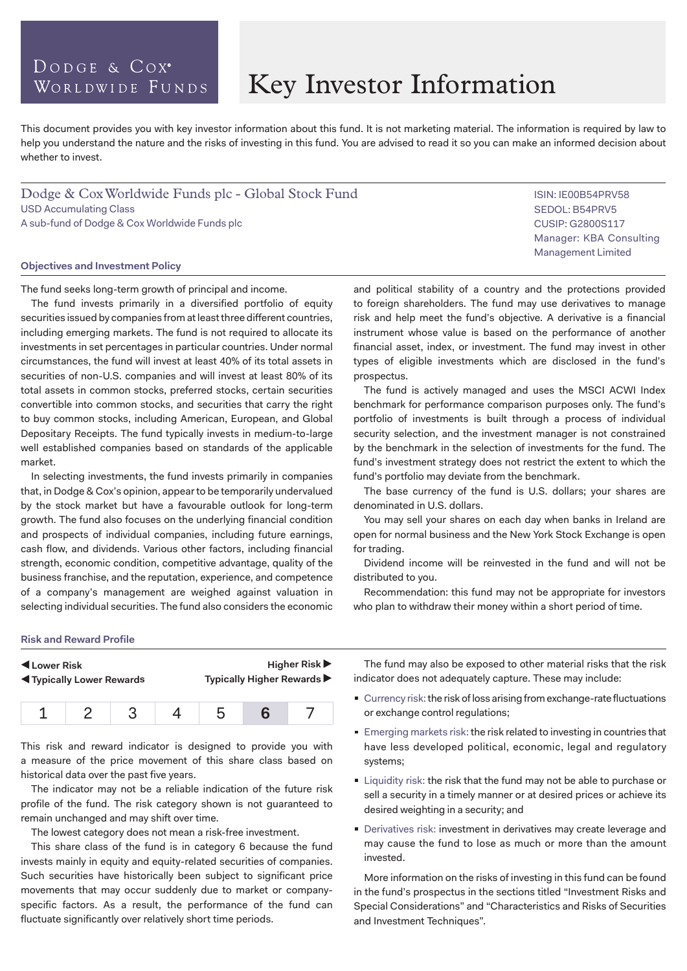## DODGE & COX<sup>®</sup> WORLDWIDE FUNDS

# Key Investor Information

prospectus.

This document provides you with key investor information about this fund. It is not marketing material. The information is required by law to help you understand the nature and the risks of investing in this fund. You are advised to read it so you can make an informed decision about whether to invest.

Dodge & Cox Worldwide Funds plc - Global Stock Fund USD Accumulating Class A sub-fund of Dodge & Cox Worldwide Funds plc

#### **Objectives and Investment Policy**

The fund seeks long-term growth of principal and income.

The fund invests primarily in a diversified portfolio of equity securities issued by companies from at least three different countries, including emerging markets. The fund is not required to allocate its investments in set percentages in particular countries. Under normal circumstances, the fund will invest at least 40% of its total assets in securities of non-U.S. companies and will invest at least 80% of its total assets in common stocks, preferred stocks, certain securities convertible into common stocks, and securities that carry the right to buy common stocks, including American, European, and Global Depositary Receipts. The fund typically invests in medium-to-large well established companies based on standards of the applicable market.

In selecting investments, the fund invests primarily in companies that, in Dodge & Cox's opinion, appear to be temporarily undervalued by the stock market but have a favourable outlook for long-term growth. The fund also focuses on the underlying financial condition and prospects of individual companies, including future earnings, cash flow, and dividends. Various other factors, including financial strength, economic condition, competitive advantage, quality of the business franchise, and the reputation, experience, and competence of a company's management are weighed against valuation in selecting individual securities. The fund also considers the economic and political stability of a country and the protections provided to foreign shareholders. The fund may use derivatives to manage risk and help meet the fund's objective. A derivative is a financial instrument whose value is based on the performance of another financial asset, index, or investment. The fund may invest in other types of eligible investments which are disclosed in the fund's

The fund is actively managed and uses the MSCI ACWI Index benchmark for performance comparison purposes only. The fund's portfolio of investments is built through a process of individual security selection, and the investment manager is not constrained by the benchmark in the selection of investments for the fund. The fund's investment strategy does not restrict the extent to which the fund's portfolio may deviate from the benchmark.

The base currency of the fund is U.S. dollars; your shares are denominated in U.S. dollars.

You may sell your shares on each day when banks in Ireland are open for normal business and the New York Stock Exchange is open for trading.

Dividend income will be reinvested in the fund and will not be distributed to you.

Recommendation: this fund may not be appropriate for investors who plan to withdraw their money within a short period of time.

#### **Risk and Reward Profile**

| ◀ Lower Risk<br><b>Example 3 Typically Lower Rewards</b> |  | Higher Risk $\blacktriangleright$<br>Typically Higher Rewards ▶ |  |  |  |
|----------------------------------------------------------|--|-----------------------------------------------------------------|--|--|--|
|                                                          |  |                                                                 |  |  |  |

This risk and reward indicator is designed to provide you with a measure of the price movement of this share class based on historical data over the past five years.

The indicator may not be a reliable indication of the future risk profile of the fund. The risk category shown is not guaranteed to remain unchanged and may shift over time.

The lowest category does not mean a risk-free investment.

This share class of the fund is in category 6 because the fund invests mainly in equity and equity-related securities of companies. Such securities have historically been subject to significant price movements that may occur suddenly due to market or companyspecific factors. As a result, the performance of the fund can fluctuate significantly over relatively short time periods.

The fund may also be exposed to other material risks that the risk indicator does not adequately capture. These may include:

- Currency risk: the risk of loss arising from exchange-rate fluctuations or exchange control regulations;
- **Emerging markets risk: the risk related to investing in countries that** have less developed political, economic, legal and regulatory systems;
- **Liquidity risk: the risk that the fund may not be able to purchase or** sell a security in a timely manner or at desired prices or achieve its desired weighting in a security; and
- Derivatives risk: investment in derivatives may create leverage and may cause the fund to lose as much or more than the amount invested.

More information on the risks of investing in this fund can be found in the fund's prospectus in the sections titled "Investment Risks and Special Considerations" and "Characteristics and Risks of Securities and Investment Techniques".

ISIN: IE00B54PRV58 SEDOL: B54PRV5 CUSIP: G2800S117 Manager: KBA Consulting Management Limited